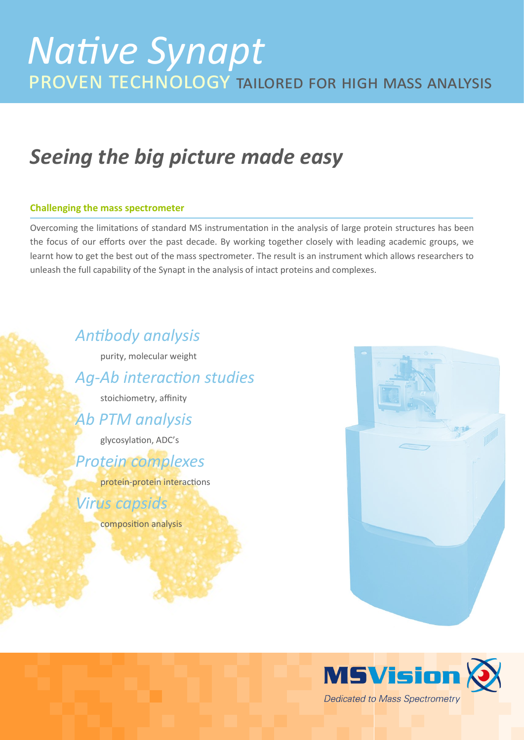# *Seeing the big picture made easy*

### **Challenging the mass spectrometer**

Overcoming the limitations of standard MS instrumentation in the analysis of large protein structures has been the focus of our efforts over the past decade. By working together closely with leading academic groups, we learnt how to get the best out of the mass spectrometer. The result is an instrument which allows researchers to unleash the full capability of the Synapt in the analysis of intact proteins and complexes.

## *Antibody analysis*

purity, molecular weight

*Ag-Ab interaction studies*

stoichiometry, affinity

## *Ab PTM analysis*

glycosylation, ADC's

## *Protein complexes*

protein-protein interactions

## *Virus capsids*

composition analysis



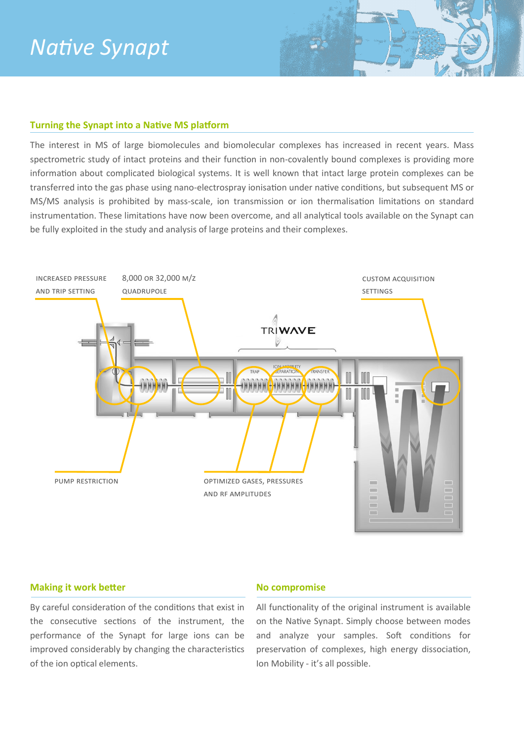# *Native Synapt*

### **Turning the Synapt into a Native MS platform**

The interest in MS of large biomolecules and biomolecular complexes has increased in recent years. Mass spectrometric study of intact proteins and their function in non-covalently bound complexes is providing more information about complicated biological systems. It is well known that intact large protein complexes can be transferred into the gas phase using nano-electrospray ionisation under native conditions, but subsequent MS or MS/MS analysis is prohibited by mass-scale, ion transmission or ion thermalisation limitations on standard instrumentation. These limitations have now been overcome, and all analytical tools available on the Synapt can be fully exploited in the study and analysis of large proteins and their complexes.



#### **Making it work better**

#### **No compromise**

By careful consideration of the conditions that exist in the consecutive sections of the instrument, the performance of the Synapt for large ions can be improved considerably by changing the characteristics of the ion optical elements.

All functionality of the original instrument is available on the Native Synapt. Simply choose between modes and analyze your samples. Soft conditions for preservation of complexes, high energy dissociation, Ion Mobility - it's all possible.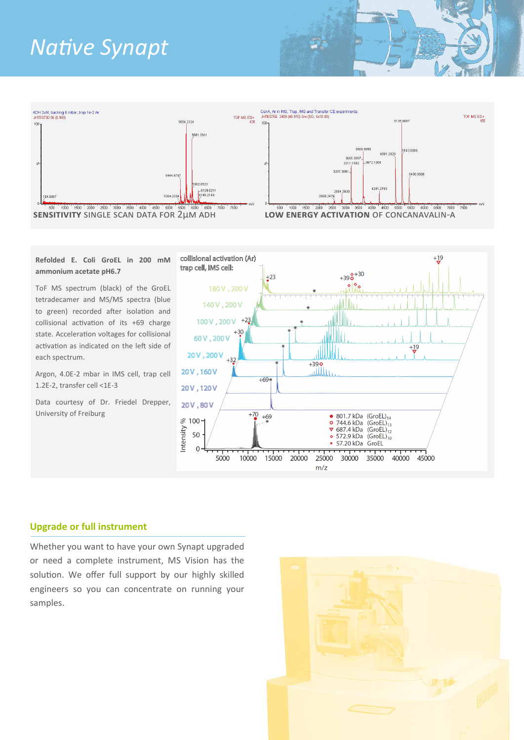# *Native Synapt*



#### **Refolded E. Coli GroEL in 200 mM ammonium acetate pH6.7**

ToF MS spectrum (black) of the GroEL tetradecamer and MS/MS spectra (blue to green) recorded after isolation and collisional activation of its +69 charge state. Acceleration voltages for collisional activation as indicated on the left side of each spectrum.

Argon, 4.0E-2 mbar in IMS cell, trap cell 1.2E-2, transfer cell <1E-3

Data courtesy of Dr. Friedel Drepper, University of Freiburg



### **Upgrade or full instrument**

Whether you want to have your own Synapt upgraded or need a complete instrument, MS Vision has the solution. We offer full support by our highly skilled engineers so you can concentrate on running your samples.